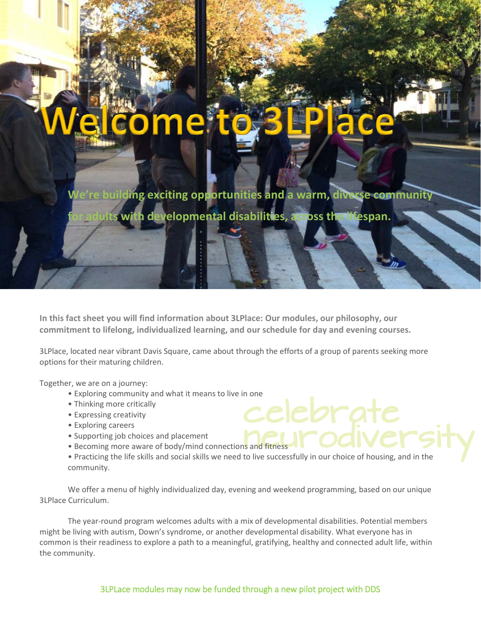**Iding exciting opportunities and a warm, diverse community** 

**ith developmental disabilities, across the lifespan.** 

**In this fact sheet you will find information about 3LPlace: Our modules, our philosophy, our commitment to lifelong, individualized learning, and our schedule for day and evening courses.**

3LPlace, located near vibrant Davis Square, came about through the efforts of a group of parents seeking more options for their maturing children.

Together, we are on a journey:

**.**

- r, we are on a journey:<br>• Exploring community and what it means to live in one
- Thinking more critically
- Expressing creativity
- Exploring careers
- Supporting job choices and placement
- Becoming more aware of body/mind connections and fitness
- celebrate<br> **Elebrate**<br>
to live successfully in our choice of housing, and in the • Practicing the life skills and social skills we need to live successfully in our choice of housing, and in the community.

We offer a menu of highly individualized day, evening and weekend programming, based on our unique 3LPlace Curriculum.

The year-round program welcomes adults with a mix of developmental disabilities. Potential members might be living with autism, Down's syndrome, or another developmental disability. What everyone has in common is their readiness to explore a path to a meaningful, gratifying, healthy and connected adult life, within the community.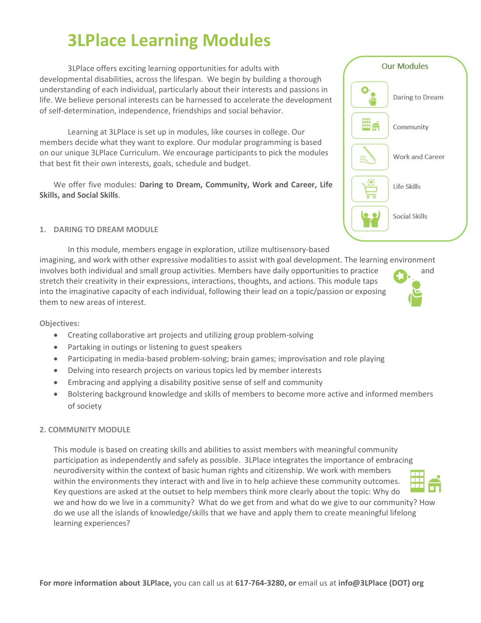# **3LPlace Learning Modules**

3LPlace offers exciting learning opportunities for adults with developmental disabilities, across the lifespan. We begin by building a thorough understanding of each individual, particularly about their interests and passions in life. We believe personal interests can be harnessed to accelerate the development of self-determination, independence, friendships and social behavior.

Learning at 3LPlace is set up in modules, like courses in college. Our members decide what they want to explore. Our modular programming is based on our unique 3LPlace Curriculum. We encourage participants to pick the modules that best fit their own interests, goals, schedule and budget.

We offer five modules: **Daring to Dream, Community, Work and Career, Life Skills, and Social Skills**.

#### **1. DARING TO DREAM MODULE**

In this module, members engage in exploration, utilize multisensory-based imagining, and work with other expressive modalities to assist with goal development. The learning environment involves both individual and small group activities. Members have daily opportunities to practice and stretch their creativity in their expressions, interactions, thoughts, and actions. This module taps into the imaginative capacity of each individual, following their lead on a topic/passion or exposing them to new areas of interest.

#### **Objectives:**

- Creating collaborative art projects and utilizing group problem-solving
- Partaking in outings or listening to guest speakers
- Participating in media-based problem-solving; brain games; improvisation and role playing
- Delving into research projects on various topics led by member interests
- Embracing and applying a disability positive sense of self and community
- Bolstering background knowledge and skills of members to become more active and informed members of society

#### **2. COMMUNITY MODULE**

This module is based on creating skills and abilities to assist members with meaningful community participation as independently and safely as possible. 3LPlace integrates the importance of embracing neurodiversity within the context of basic human rights and citizenship. We work with members within the environments they interact with and live in to help achieve these community outcomes. Key questions are asked at the outset to help members think more clearly about the topic: Why do we and how do we live in a community? What do we get from and what do we give to our community? How do we use all the islands of knowledge/skills that we have and apply them to create meaningful lifelong learning experiences?





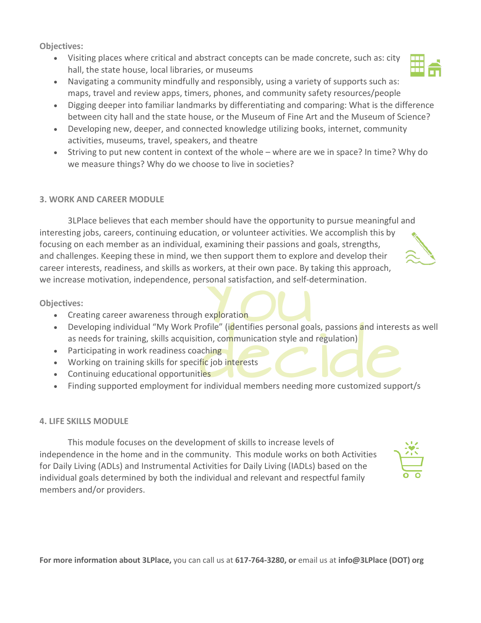**Objectives:**

- Visiting places where critical and abstract concepts can be made concrete, such as: city hall, the state house, local libraries, or museums
- Navigating a community mindfully and responsibly, using a variety of supports such as: maps, travel and review apps, timers, phones, and community safety resources/people
- Digging deeper into familiar landmarks by differentiating and comparing: What is the difference between city hall and the state house, or the Museum of Fine Art and the Museum of Science?
- Developing new, deeper, and connected knowledge utilizing books, internet, community activities, museums, travel, speakers, and theatre
- Striving to put new content in context of the whole where are we in space? In time? Why do we measure things? Why do we choose to live in societies?

#### **3. WORK AND CAREER MODULE**

3LPlace believes that each member should have the opportunity to pursue meaningful and interesting jobs, careers, continuing education, or volunteer activities. We accomplish this by focusing on each member as an individual, examining their passions and goals, strengths, and challenges. Keeping these in mind, we then support them to explore and develop their career interests, readiness, and skills as workers, at their own pace. By taking this approach, we increase motivation, independence, personal satisfaction, and self-determination.

**Objectives:**

- Creating career awareness through exploration
- Properties<br>
The exploration<br>
The communication style and • Developing individual "My Work Profile" (identifies personal goals, passions and interests as well as needs for training, skills acquisition, communication style and regulation)
- Participating in work readiness coaching
- Working on training skills for specific job interests
- Continuing educational opportunities
- Participating in work readiness coaching<br>• Working on training skills for specific job interests<br>• Continuing educational opportunities<br>• Finding supported employment for individual members needing more customized suppor

#### **4. LIFE SKILLS MODULE**

This module focuses on the development of skills to increase levels of independence in the home and in the community. This module works on both Activities for Daily Living (ADLs) and Instrumental Activities for Daily Living (IADLs) based on the individual goals determined by both the individual and relevant and respectful family members and/or providers.





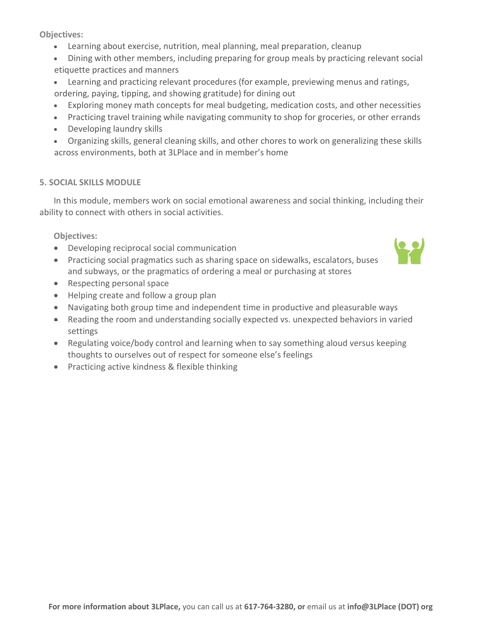**Objectives:**

- Learning about exercise, nutrition, meal planning, meal preparation, cleanup
- Dining with other members, including preparing for group meals by practicing relevant social etiquette practices and manners
- Learning and practicing relevant procedures (for example, previewing menus and ratings, ordering, paying, tipping, and showing gratitude) for dining out
- Exploring money math concepts for meal budgeting, medication costs, and other necessities
- Practicing travel training while navigating community to shop for groceries, or other errands
- Developing laundry skills
- Organizing skills, general cleaning skills, and other chores to work on generalizing these skills across environments, both at 3LPlace and in member's home

#### **5. SOCIAL SKILLS MODULE**

In this module, members work on social emotional awareness and social thinking, including their ability to connect with others in social activities.

**Objectives:**

- Developing reciprocal social communication
- Practicing social pragmatics such as sharing space on sidewalks, escalators, buses and subways, or the pragmatics of ordering a meal or purchasing at stores
- Respecting personal space
- Helping create and follow a group plan
- Navigating both group time and independent time in productive and pleasurable ways
- Reading the room and understanding socially expected vs. unexpected behaviors in varied settings
- Regulating voice/body control and learning when to say something aloud versus keeping thoughts to ourselves out of respect for someone else's feelings
- Practicing active kindness & flexible thinking

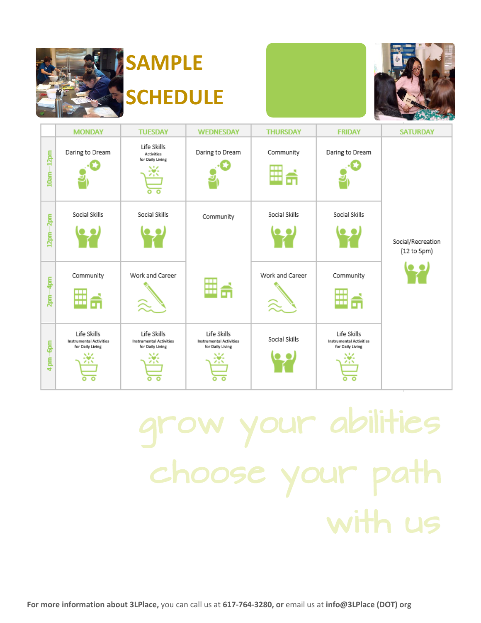

# **SAMPLE SCHEDULE**



|                  | <b>MONDAY</b>                                                                | <b>TUESDAY</b>                                                         | <b>WEDNESDAY</b>                                                              | <b>THURSDAY</b> | <b>FRIDAY</b>                                                                      | <b>SATURDAY</b>                  |
|------------------|------------------------------------------------------------------------------|------------------------------------------------------------------------|-------------------------------------------------------------------------------|-----------------|------------------------------------------------------------------------------------|----------------------------------|
| $-12pm$<br>10am- | Daring to Dream                                                              | Life Skills<br><b>Activities</b><br>for Daily Living<br>Ŵ.             | Daring to Dream                                                               | Community<br>H  | Daring to Dream                                                                    |                                  |
| 2pm              | Social Skills                                                                | Social Skills                                                          | Community                                                                     | Social Skills   | Social Skills                                                                      |                                  |
| 12pm-            |                                                                              |                                                                        |                                                                               |                 |                                                                                    | Social/Recreation<br>(12 to 5pm) |
| Ş<br>Б.<br>Р     | Community<br>п<br>π                                                          | Work and Career<br>シュ こうしょう こうしゃ                                       | ⋣<br>₩                                                                        | Work and Career | Community<br>п<br>т<br>┳                                                           |                                  |
| 4 pm - Gpm       | Life Skills<br><b>Instrumental Activities</b><br>for Daily Living<br>$\circ$ | Life Skills<br><b>Instrumental Activities</b><br>for Daily Living<br>۰ | Life Skills<br>Instrumental Activities<br>for Daily Living<br>- 18<br>$\circ$ | Social Skills   | Life Skills<br><b>Instrumental Activities</b><br>for Daily Living<br>Ŵ.<br>$\circ$ |                                  |

# grow your abilities choose your path with us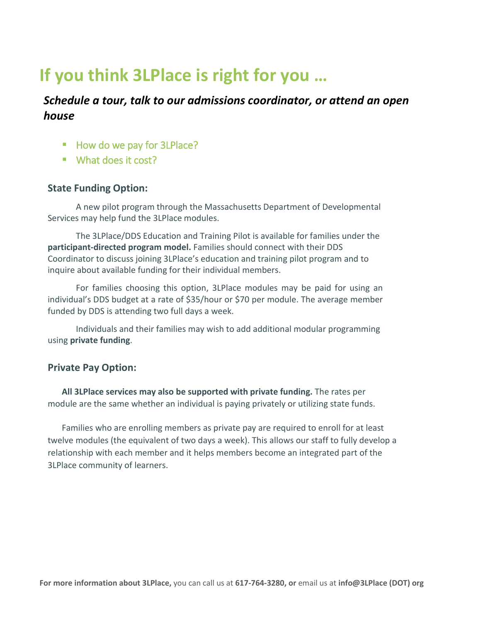## **If you think 3LPlace is right for you …**

#### *Schedule a tour, talk to our admissions coordinator, or attend an open house*

- How do we pay for 3LPlace?
- What does it cost?

#### **State Funding Option:**

A new pilot program through the Massachusetts Department of Developmental Services may help fund the 3LPlace modules.

The 3LPlace/DDS Education and Training Pilot is available for families under the **participant-directed program model.** Families should connect with their DDS Coordinator to discuss joining 3LPlace's education and training pilot program and to inquire about available funding for their individual members.

For families choosing this option, 3LPlace modules may be paid for using an individual's DDS budget at a rate of \$35/hour or \$70 per module. The average member funded by DDS is attending two full days a week.

Individuals and their families may wish to add additional modular programming using **private funding**.

#### **Private Pay Option:**

**All 3LPlace services may also be supported with private funding.** The rates per module are the same whether an individual is paying privately or utilizing state funds.

Families who are enrolling members as private pay are required to enroll for at least twelve modules (the equivalent of two days a week). This allows our staff to fully develop a relationship with each member and it helps members become an integrated part of the 3LPlace community of learners.